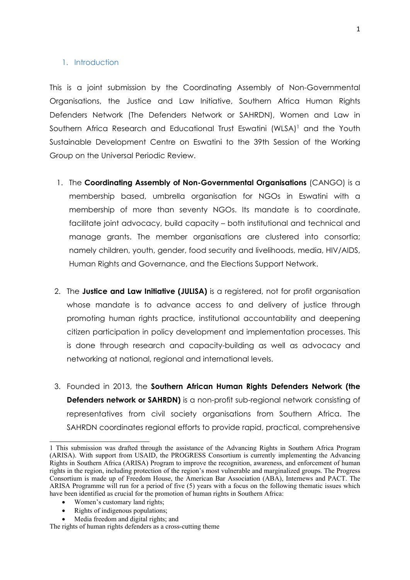#### 1. Introduction

This is <sup>a</sup> joint submission by the Coordinating Assembly of Non-Governmental Organisations, the Justice and Law Initiative, Southern Africa Human Rights Defenders Network (The Defenders Network or SAHRDN), Women and Law in Southern Africa Research and Educational Trust Eswatini (WLSA) <sup>1</sup> and the Youth Sustainable Development Centre on Eswatini to the 39th Session of the Working Group on the Universal Periodic Review.

- 1. The **Coordinating Assembly of Non-Governmental Organisations** (CANGO) is <sup>a</sup> membership based, umbrella organisation for NGOs in Eswatini with <sup>a</sup> membership of more than seventy NGOs. Its mandate is to coordinate, facilitate joint advocacy, build capacity – both institutional and technical and manage grants. The member organisations are clustered into consortia; namely children, youth, gender, food security and livelihoods, media, HIV/AIDS, Human Rights and Governance, and the Elections Support Network.
- 2. The **Justice and Law Initiative (JULISA)** is <sup>a</sup> registered, not for profit organisation whose mandate is to advance access to and delivery of justice through promoting human rights practice, institutional accountability and deepening citizen participation in policy development and implementation processes. This is done through research and capacity-building as well as advocacy and networking at national, regional and international levels.
- 3. Founded in 2013, the **Southern African Human Rights Defenders Network (the Defenders network or SAHRDN)** is <sup>a</sup> non-profit sub-regional network consisting of representatives from civil society organisations from Southern Africa. The SAHRDN coordinates regional efforts to provide rapid, practical, comprehensive

- c Women'<sup>s</sup> customary land rights;
- $\bullet$ Rights of indigenous populations;
- e Media freedom and digital rights; and

<sup>1</sup> This submission was drafted through the assistance of the Advancing Rights in Southern Africa Program (ARISA). With suppor<sup>t</sup> from USAID, the PROGRESS Consortium is currently implementing the Advancing Rights in Southern Africa (ARISA) Program to improve the recognition, awareness, and enforcement of human rights in the region, including protection of the region'<sup>s</sup> most vulnerable and marginalized groups. The Progress Consortium is made up of Freedom House, the American Bar Association (ABA), Internews and PACT. The ARISA Programme will run for <sup>a</sup> period of five (5) years with <sup>a</sup> focus on the following thematic issues which have been identified as crucial for the promotion of human rights in Southern Africa:

The rights of human rights defenders as <sup>a</sup> cross-cutting theme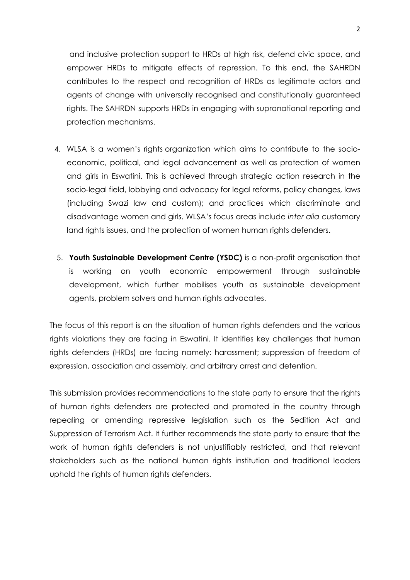and inclusive protection support to HRDs at high risk, defend civic space, and empower HRDs to mitigate effects of repression. To this end, the SAHRDN contributes to the respect and recognition of HRDs as legitimate actors and agents of change with universally recognised and constitutionally guaranteed rights. The SAHRDN supports HRDs in engaging with supranational reporting and protection mechanisms.

- 4. WLSA is <sup>a</sup> women'<sup>s</sup> rights organization which aims to contribute to the socioeconomic, political, and legal advancement as well as protection of women and girls in Eswatini. This is achieved through strategic action research in the socio-legal field, lobbying and advocacy for legal reforms, policy changes, laws (including Swazi law and custom); and practices which discriminate and disadvantage women and girls. WLSA'<sup>s</sup> focus areas include *inter alia* customary land rights issues, and the protection of women human rights defenders.
- 5. **Youth Sustainable Development Centre (YSDC)** is <sup>a</sup> non-profit organisation that is working on youth economic empowerment through sustainable development, which further mobilises youth as sustainable development agents, problem solvers and human rights advocates.

The focus of this report is on the situation of human rights defenders and the various rights violations they are facing in Eswatini. It identifies key challenges that human rights defenders (HRDs) are facing namely: harassment; suppression of freedom of expression, association and assembly, and arbitrary arrest and detention.

This submission provides recommendations to the state party to ensure that the rights of human rights defenders are protected and promoted in the country through repealing or amending repressive legislation such as the Sedition Act and Suppression of Terrorism Act. It further recommends the state party to ensure that the work of human rights defenders is not unjustifiably restricted, and that relevant stakeholders such as the national human rights institution and traditional leaders uphold the rights of human rights defenders.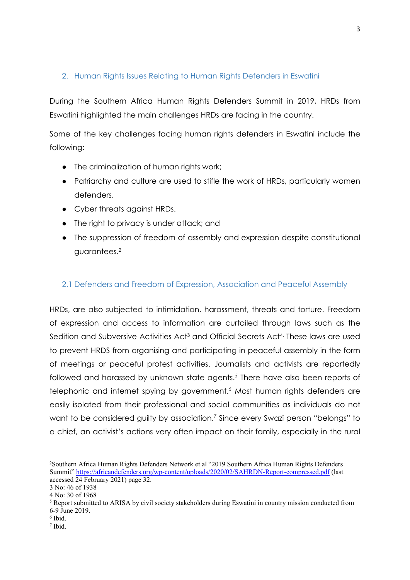# 2. Human Rights Issues Relating to Human Rights Defenders in Eswatini

During the Southern Africa Human Rights Defenders Summit in 2019, HRDs from Eswatini highlighted the main challenges HRDs are facing in the country.

Some of the key challenges facing human rights defenders in Eswatini include the following:

- The criminalization of human rights work;
- Patriarchy and culture are used to stifle the work of HRDs, particularly women defenders.
- Cyber threats against HRDs.
- The right to privacy is under attack; and
- The suppression of freedom of assembly and expression despite constitutional guarantees. *2*

#### 2.1 Defenders and Freedom of Expression, Association and Peaceful Assembly

HRDs, are also subjected to intimidation, harassment, threats and torture. Freedom of expression and access to information are curtailed through laws such as the Sedition and Subversive Activities Act $^3$  and Official Secrets Act $^4\cdot$  These laws are usec to prevent HRDS from organising and participating in peaceful assembly in the form of meetings or peaceful protest activities. Journalists and activists are reportedly followed and harassed by unknown state agents. *5* There have also been reports of telephonic and internet spying by government. *<sup>6</sup>* Most human rights defenders are easily isolated from their professional and social communities as individuals do not want to be considered guilty by association. *7* Since every Swazi person "belongs" to <sup>a</sup> chief, an activist'<sup>s</sup> actions very often impact on their family, especially in the rural

<sup>2</sup> Southern Africa Human Rights Defenders Network et al "2019 Southern Africa Human Rights Defenders Summit" <https://africandefenders.org/wp-content/uploads/2020/02/SAHRDN-Report-compressed.pdf> (last accessed 24 February 2021) page 32.

<sup>3</sup> No: 46 of 1938

<sup>4</sup> No: 30 of 1968

<sup>5</sup> Report submitted to ARISA by civil society stakeholders during Eswatini in country mission conducted from 6-9 June 2019.

<sup>6</sup> Ibid.

<sup>7</sup> Ibid.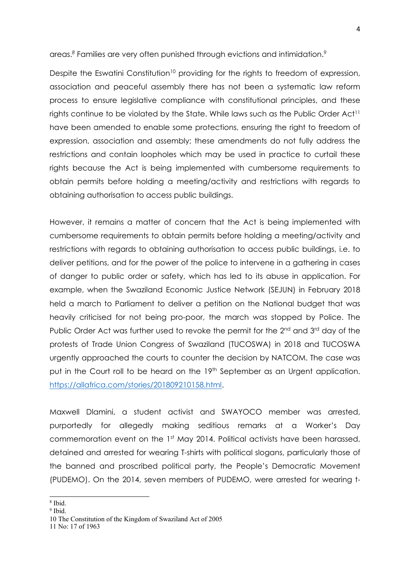areas. *8* Families are very often punished through evictions and intimidation. *9*

Despite the Eswatini Constitution<sup>10</sup> providing for the rights to freedom of expression, association and peaceful assembly there has not been <sup>a</sup> systematic law reform process to ensure legislative compliance with constitutional principles, and these rights continue to be violated by the State. While laws such as the Public Order Act $^{\dagger}$ have been amended to enable some protections, ensuring the right to freedom of expression, association and assembly; these amendments do not fully address the restrictions and contain loopholes which may be used in practice to curtail these rights because the Act is being implemented with cumbersome requirements to obtain permits before holding <sup>a</sup> meeting/activity and restrictions with regards to obtaining authorisation to access public buildings.

However, it remains <sup>a</sup> matter of concern that the Act is being implemented with cumbersome requirements to obtain permits before holding <sup>a</sup> meeting/activity and restrictions with regards to obtaining authorisation to access public buildings, i.e. to deliver petitions, and for the power of the police to intervene in <sup>a</sup> gathering in cases of danger to public order or safety, which has led to its abuse in application. For example, when the Swaziland Economic Justice Network (SEJUN) in February 2018 held <sup>a</sup> march to Parliament to deliver <sup>a</sup> petition on the National budget that was heavily criticised for not being pro-poor, the march was stopped by Police. The Public Order Act was further used to revoke the permit for the 2<sup>nd</sup> and 3<sup>rd</sup> day of the protests of Trade Union Congress of Swaziland (TUCOSWA) in 2018 and TUCOSWA urgently approached the courts to counter the decision by NATCOM. The case was put in the Court roll to be heard on the 19<sup>th</sup> September as an Urgent application. <https://allafrica.com/stories/201809210158.html>.

Maxwell Dlamini, <sup>a</sup> student activist and SWAYOCO member was arrested, purportedly for allegedly making seditious remarks at <sup>a</sup> Worker'<sup>s</sup> Day commemoration event on the 1<sup>st</sup> May 2014. Political activists have been harassed, detained and arrested for wearing T-shirts with political slogans, particularly those of the banned and proscribed political party, the People'<sup>s</sup> Democratic Movement (PUDEMO). On the 2014, seven members of PUDEMO, were arrested for wearing t-

<sup>9</sup> Ibid.

<sup>8</sup> Ibid.

<sup>10</sup> The Constitution of the Kingdom of Swaziland Act of 2005

<sup>11</sup> No: 17 of 1963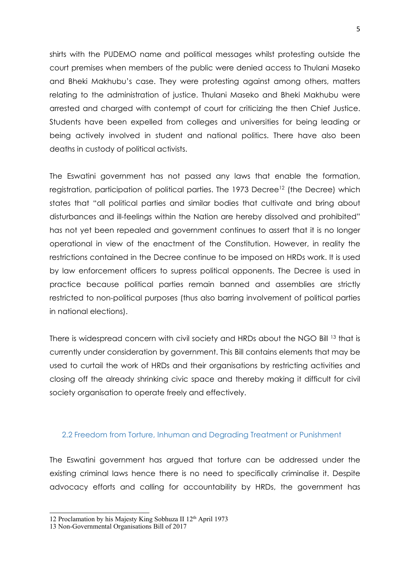shirts with the PUDEMO name and political messages whilst protesting outside the court premises when members of the public were denied access to Thulani Maseko and Bheki Makhubu'<sup>s</sup> case. They were protesting against among others, matters relating to the administration of justice. Thulani Maseko and Bheki Makhubu were arrested and charged with contempt of court for criticizing the then Chief Justice. Students have been expelled from colleges and universities for being leading or being actively involved in student and national politics. There have also been deaths in custody of political activists.

The Eswatini government has not passed any laws that enable the formation, registration, participation of political parties. The 1973 Decree<sup>12</sup> (the Decree) which states that "all political parties and similar bodies that cultivate and bring about disturbances and ill-feelings within the Nation are hereby dissolved and prohibited" has not yet been repealed and government continues to assert that it is no longer operational in view of the enactment of the Constitution. However, in reality the restrictions contained in the Decree continue to be imposed on HRDs work. It is used by law enforcement officers to supress political opponents. The Decree is used in practice because political parties remain banned and assemblies are strictly restricted to non-political purposes (thus also barring involvement of political parties in national elections).

There is widespread concern with civil society and HRDs about the NGO Bill <sup>13</sup> that is currently under consideration by government. This Bill contains elements that may be used to curtail the work of HRDs and their organisations by restricting activities and closing off the already shrinking civic space and thereby making it difficult for civil society organisation to operate freely and effectively.

#### 2.2 Freedom from Torture, Inhuman and Degrading Treatment or Punishment

The Eswatini government has argued that torture can be addressed under the existing criminal laws hence there is no need to specifically criminalise it. Despite advocacy efforts and calling for accountability by HRDs, the government has

<sup>12</sup> Proclamation by his Majesty King Sobhuza II 12<sup>th</sup> April 1973

<sup>13</sup> Non-Governmental Organisations Bill of 2017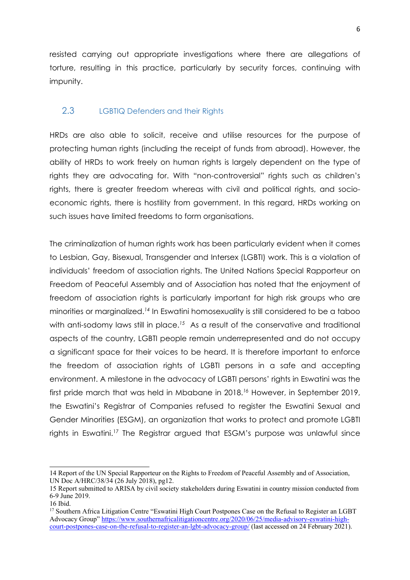resisted carrying out appropriate investigations where there are allegations of torture, resulting in this practice, particularly by security forces, continuing with impunity.

## 2.3 LGBTIQ Defenders and their Rights

HRDs are also able to solicit, receive and utilise resources for the purpose of protecting human rights (including the receipt of funds from abroad). However, the ability of HRDs to work freely on human rights is largely dependent on the type of rights they are advocating for. With "non-controversial" rights such as children'<sup>s</sup> rights, there is greater freedom whereas with civil and political rights, and socioeconomic rights, there is hostility from government. In this regard, HRDs working on such issues have limited freedoms to form organisations.

The criminalization of human rights work has been particularly evident when it comes to Lesbian, Gay, Bisexual, Transgender and Intersex (LGBTI) work. This is <sup>a</sup> violation of individuals' freedom of association rights. The United Nations Special Rapporteur on Freedom of Peaceful Assembly and of Association has noted that the enjoyment of freedom of association rights is particularly important for high risk groups who are minorities or marginalized. *14* In Eswatini homosexuality is still considered to be <sup>a</sup> taboo with anti-sodomy laws still in place. *<sup>15</sup>* As <sup>a</sup> result of the conservative and traditional aspects of the country, LGBTI people remain underrepresented and do not occupy <sup>a</sup> significant space for their voices to be heard. It is therefore important to enforce the freedom of association rights of LGBTI persons in <sup>a</sup> safe and accepting environment. A milestone in the advocacy of LGBTI persons' rights in Eswatini was the first pride march that was held in Mbabane in 2018. *<sup>16</sup>* However, in September 2019, the Eswatini'<sup>s</sup> Registrar of Companies refused to register the Eswatini Sexual and Gender Minorities (ESGM), an organization that works to protect and promote LGBTI rights in Eswatini.<sup>17</sup> The Registrar argued that ESGM's purpose was unlawful since

<sup>14</sup> Report of the UN Special Rapporteur on the Rights to Freedom of Peaceful Assembly and of Association, UN Doc A/HRC/38/34 (26 July 2018), pg12.

<sup>15</sup> Report submitted to ARISA by civil society stakeholders during Eswatini in country mission conducted from 6-9 June 2019.

<sup>16</sup> Ibid.

<sup>&</sup>lt;sup>17</sup> Southern Africa Litigation Centre "Eswatini High Court Postpones Case on the Refusal to Register an LGBT Advocacy Group" [https://www.southernafricalitigationcentre.org/2020/06/25/media-advisory-eswatini-high](https://www.southernafricalitigationcentre.org/2020/06/25/media-advisory-eswatini-high-court-postpones-case-on-the-refusal-to-register-an-lgbt-advocacy-group/)[court-postpones-case-on-the-refusal-to-register-an-lgbt-advocacy-group/](https://www.southernafricalitigationcentre.org/2020/06/25/media-advisory-eswatini-high-court-postpones-case-on-the-refusal-to-register-an-lgbt-advocacy-group/) (last accessed on 24 February 2021).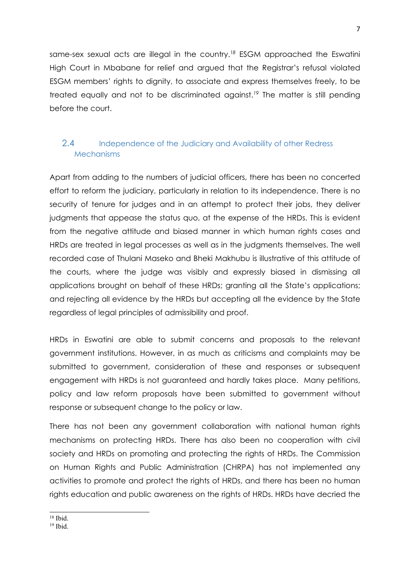same-sex sexual acts are illegal in the country. *18* ESGM approached the Eswatini High Court in Mbabane for relief and argued that the Registrar'<sup>s</sup> refusal violated ESGM members' rights to dignity, to associate and express themselves freely, to be treated equally and not to be discriminated against. *19* The matter is still pending before the court.

# 2.4 Independence of the Judiciary and Availability of other Redress **Mechanisms**

Apart from adding to the numbers of judicial officers, there has been no concerted effort to reform the judiciary, particularly in relation to its independence. There is no security of tenure for judges and in an attempt to protect their jobs, they deliver judgments that appease the status quo, at the expense of the HRDs. This is evident from the negative attitude and biased manner in which human rights cases and HRDs are treated in legal processes as well as in the judgments themselves. The well recorded case of Thulani Maseko and Bheki Makhubu is illustrative of this attitude of the courts, where the judge was visibly and expressly biased in dismissing all applications brought on behalf of these HRDs; granting all the State'<sup>s</sup> applications; and rejecting all evidence by the HRDs but accepting all the evidence by the State regardless of legal principles of admissibility and proof.

HRDs in Eswatini are able to submit concerns and proposals to the relevant government institutions. However, in as much as criticisms and complaints may be submitted to government, consideration of these and responses or subsequent engagement with HRDs is not guaranteed and hardly takes place. Many petitions, policy and law reform proposals have been submitted to government without response or subsequent change to the policy or law.

There has not been any government collaboration with national human rights mechanisms on protecting HRDs. There has also been no cooperation with civil society and HRDs on promoting and protecting the rights of HRDs. The Commission on Human Rights and Public Administration (CHRPA) has not implemented any activities to promote and protect the rights of HRDs, and there has been no human rights education and public awareness on the rights of HRDs. HRDs have decried the

<sup>18</sup> Ibid.

<sup>19</sup> Ibid.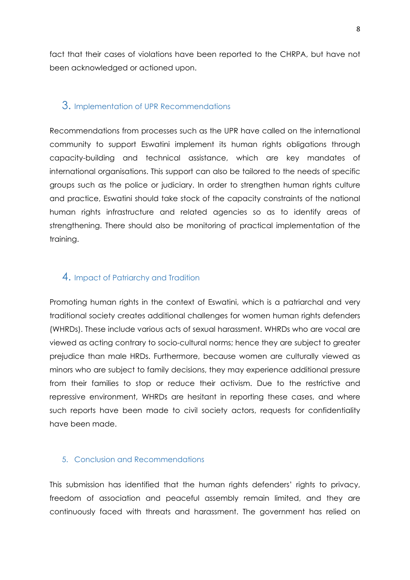fact that their cases of violations have been reported to the CHRPA, but have not been acknowledged or actioned upon.

### 3. Implementation of UPR Recommendations

Recommendations from processes such as the UPR have called on the international community to support Eswatini implement its human rights obligations through capacity-building and technical assistance, which are key mandates of international organisations. This support can also be tailored to the needs of specific groups such as the police or judiciary. In order to strengthen human rights culture and practice, Eswatini should take stock of the capacity constraints of the national human rights infrastructure and related agencies so as to identify areas of strengthening. There should also be monitoring of practical implementation of the training.

# 4. Impact of Patriarchy and Tradition

Promoting human rights in the context of Eswatini, which is <sup>a</sup> patriarchal and very traditional society creates additional challenges for women human rights defenders (WHRDs). These include various acts of sexual harassment. WHRDs who are vocal are viewed as acting contrary to socio-cultural norms; hence they are subject to greater prejudice than male HRDs. Furthermore, because women are culturally viewed as minors who are subject to family decisions, they may experience additional pressure from their families to stop or reduce their activism. Due to the restrictive and repressive environment, WHRDs are hesitant in reporting these cases, and where such reports have been made to civil society actors, requests for confidentiality have been made.

#### 5. Conclusion and Recommendations

This submission has identified that the human rights defenders' rights to privacy, freedom of association and peaceful assembly remain limited, and they are continuously faced with threats and harassment. The government has relied on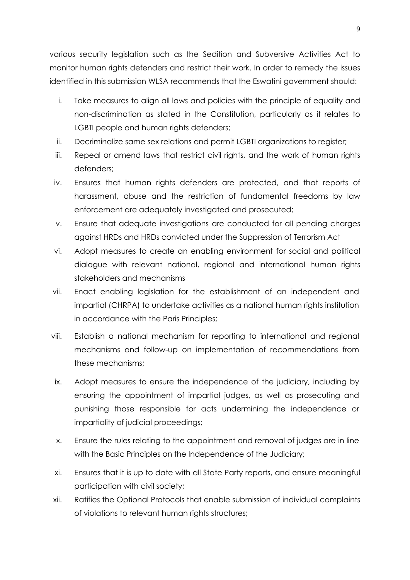various security legislation such as the Sedition and Subversive Activities Act to monitor human rights defenders and restrict their work. In order to remedy the issues identified in this submission WLSA recommends that the Eswatini government should:

- i. Take measures to align all laws and policies with the principle of equality and non-discrimination as stated in the Constitution, particularly as it relates to LGBTI people and human rights defenders;
- ii. Decriminalize same sex relations and permit LGBTI organizations to register;
- iii. Repeal or amend laws that restrict civil rights, and the work of human rights defenders;
- iv. Ensures that human rights defenders are protected, and that reports of harassment, abuse and the restriction of fundamental freedoms by law enforcement are adequately investigated and prosecuted;
- v. Ensure that adequate investigations are conducted for all pending charges against HRDs and HRDs convicted under the Suppression of Terrorism Act
- vi. Adopt measures to create an enabling environment for social and political dialogue with relevant national, regional and international human rights stakeholders and mechanisms
- vii. Enact enabling legislation for the establishment of an independent and impartial (CHRPA) to undertake activities as <sup>a</sup> national human rights institution in accordance with the Paris Principles;
- viii. Establish <sup>a</sup> national mechanism for reporting to international and regional mechanisms and follow-up on implementation of recommendations from these mechanisms;
- ix. Adopt measures to ensure the independence of the judiciary, including by ensuring the appointment of impartial judges, as well as prosecuting and punishing those responsible for acts undermining the independence or impartiality of judicial proceedings;
- x. Ensure the rules relating to the appointment and removal of judges are in line with the Basic Principles on the Independence of the Judiciary;
- xi. Ensures that it is up to date with all State Party reports, and ensure meaningful participation with civil society;
- xii. Ratifies the Optional Protocols that enable submission of individual complaints of violations to relevant human rights structures;